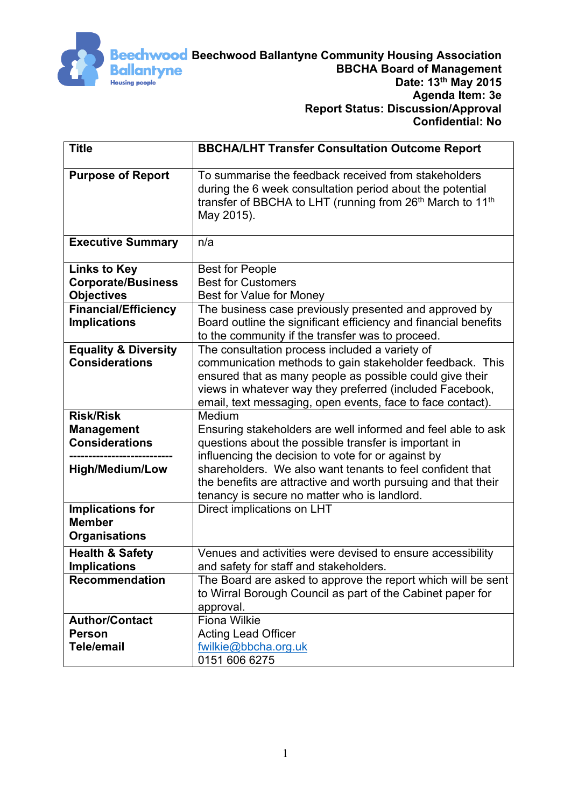

| <b>Title</b>                                                                             | <b>BBCHA/LHT Transfer Consultation Outcome Report</b>                                                                                                                                                                                                                                                               |
|------------------------------------------------------------------------------------------|---------------------------------------------------------------------------------------------------------------------------------------------------------------------------------------------------------------------------------------------------------------------------------------------------------------------|
| <b>Purpose of Report</b>                                                                 | To summarise the feedback received from stakeholders<br>during the 6 week consultation period about the potential<br>transfer of BBCHA to LHT (running from 26 <sup>th</sup> March to 11 <sup>th</sup><br>May 2015).                                                                                                |
| <b>Executive Summary</b>                                                                 | n/a                                                                                                                                                                                                                                                                                                                 |
| <b>Links to Key</b><br><b>Corporate/Business</b><br><b>Objectives</b>                    | <b>Best for People</b><br><b>Best for Customers</b><br>Best for Value for Money                                                                                                                                                                                                                                     |
| <b>Financial/Efficiency</b><br><b>Implications</b>                                       | The business case previously presented and approved by<br>Board outline the significant efficiency and financial benefits<br>to the community if the transfer was to proceed.                                                                                                                                       |
| <b>Equality &amp; Diversity</b><br><b>Considerations</b>                                 | The consultation process included a variety of<br>communication methods to gain stakeholder feedback. This<br>ensured that as many people as possible could give their<br>views in whatever way they preferred (included Facebook,<br>email, text messaging, open events, face to face contact).                    |
| <b>Risk/Risk</b><br><b>Management</b><br><b>Considerations</b><br><b>High/Medium/Low</b> | Medium<br>Ensuring stakeholders are well informed and feel able to ask<br>questions about the possible transfer is important in<br>influencing the decision to vote for or against by<br>shareholders. We also want tenants to feel confident that<br>the benefits are attractive and worth pursuing and that their |
| <b>Implications for</b><br><b>Member</b><br><b>Organisations</b>                         | tenancy is secure no matter who is landlord.<br>Direct implications on LHT                                                                                                                                                                                                                                          |
| <b>Health &amp; Safety</b><br><b>Implications</b>                                        | Venues and activities were devised to ensure accessibility<br>and safety for staff and stakeholders.                                                                                                                                                                                                                |
| <b>Recommendation</b>                                                                    | The Board are asked to approve the report which will be sent<br>to Wirral Borough Council as part of the Cabinet paper for<br>approval.                                                                                                                                                                             |
| <b>Author/Contact</b><br><b>Person</b><br><b>Tele/email</b>                              | <b>Fiona Wilkie</b><br><b>Acting Lead Officer</b><br>fwilkie@bbcha.org.uk<br>0151 606 6275                                                                                                                                                                                                                          |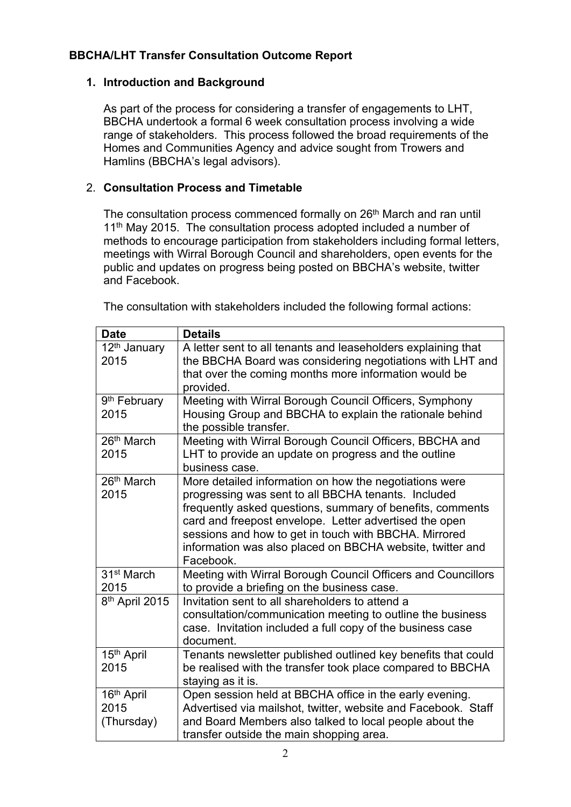# **BBCHA/LHT Transfer Consultation Outcome Report**

## **1. Introduction and Background**

As part of the process for considering a transfer of engagements to LHT, BBCHA undertook a formal 6 week consultation process involving a wide range of stakeholders. This process followed the broad requirements of the Homes and Communities Agency and advice sought from Trowers and Hamlins (BBCHA's legal advisors).

## 2. **Consultation Process and Timetable**

The consultation process commenced formally on 26<sup>th</sup> March and ran until 11<sup>th</sup> May 2015. The consultation process adopted included a number of methods to encourage participation from stakeholders including formal letters, meetings with Wirral Borough Council and shareholders, open events for the public and updates on progress being posted on BBCHA's website, twitter and Facebook.

The consultation with stakeholders included the following formal actions:

| <b>Date</b>                                  | <b>Details</b>                                                                                                                                                                                                                                                                                                                                                          |
|----------------------------------------------|-------------------------------------------------------------------------------------------------------------------------------------------------------------------------------------------------------------------------------------------------------------------------------------------------------------------------------------------------------------------------|
| 12 <sup>th</sup> January<br>2015             | A letter sent to all tenants and leaseholders explaining that<br>the BBCHA Board was considering negotiations with LHT and<br>that over the coming months more information would be<br>provided.                                                                                                                                                                        |
| 9 <sup>th</sup> February<br>2015             | Meeting with Wirral Borough Council Officers, Symphony<br>Housing Group and BBCHA to explain the rationale behind<br>the possible transfer.                                                                                                                                                                                                                             |
| 26 <sup>th</sup> March<br>2015               | Meeting with Wirral Borough Council Officers, BBCHA and<br>LHT to provide an update on progress and the outline<br>business case.                                                                                                                                                                                                                                       |
| 26 <sup>th</sup> March<br>2015               | More detailed information on how the negotiations were<br>progressing was sent to all BBCHA tenants. Included<br>frequently asked questions, summary of benefits, comments<br>card and freepost envelope. Letter advertised the open<br>sessions and how to get in touch with BBCHA. Mirrored<br>information was also placed on BBCHA website, twitter and<br>Facebook. |
| 31 <sup>st</sup> March<br>2015               | Meeting with Wirral Borough Council Officers and Councillors<br>to provide a briefing on the business case.                                                                                                                                                                                                                                                             |
| 8 <sup>th</sup> April 2015                   | Invitation sent to all shareholders to attend a<br>consultation/communication meeting to outline the business<br>case. Invitation included a full copy of the business case<br>document.                                                                                                                                                                                |
| 15th April<br>2015                           | Tenants newsletter published outlined key benefits that could<br>be realised with the transfer took place compared to BBCHA<br>staying as it is.                                                                                                                                                                                                                        |
| 16 <sup>th</sup> April<br>2015<br>(Thursday) | Open session held at BBCHA office in the early evening.<br>Advertised via mailshot, twitter, website and Facebook. Staff<br>and Board Members also talked to local people about the<br>transfer outside the main shopping area.                                                                                                                                         |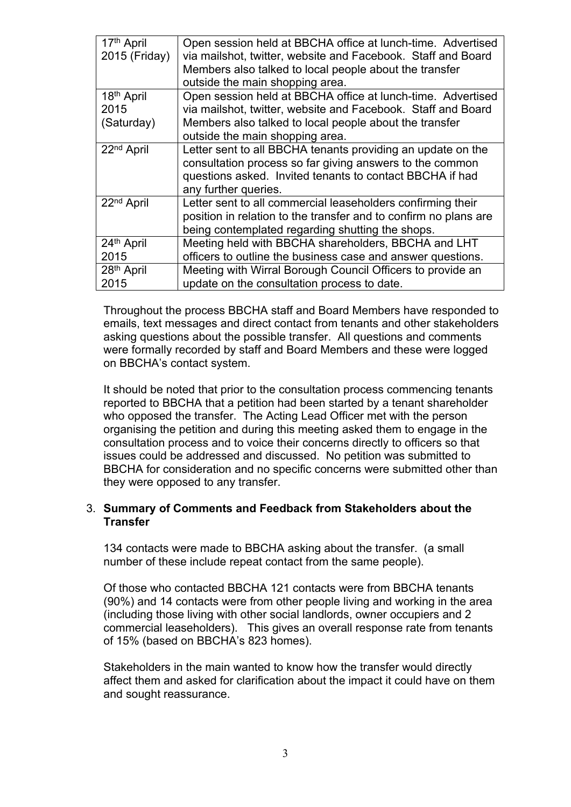| 17th April<br>2015 (Friday) | Open session held at BBCHA office at lunch-time. Advertised<br>via mailshot, twitter, website and Facebook. Staff and Board<br>Members also talked to local people about the transfer<br>outside the main shopping area. |
|-----------------------------|--------------------------------------------------------------------------------------------------------------------------------------------------------------------------------------------------------------------------|
| 18 <sup>th</sup> April      | Open session held at BBCHA office at lunch-time. Advertised                                                                                                                                                              |
| 2015                        | via mailshot, twitter, website and Facebook. Staff and Board                                                                                                                                                             |
| (Saturday)                  | Members also talked to local people about the transfer<br>outside the main shopping area.                                                                                                                                |
| 22 <sup>nd</sup> April      | Letter sent to all BBCHA tenants providing an update on the<br>consultation process so far giving answers to the common<br>questions asked. Invited tenants to contact BBCHA if had<br>any further queries.              |
| 22 <sup>nd</sup> April      | Letter sent to all commercial leaseholders confirming their<br>position in relation to the transfer and to confirm no plans are<br>being contemplated regarding shutting the shops.                                      |
| 24th April                  | Meeting held with BBCHA shareholders, BBCHA and LHT                                                                                                                                                                      |
| 2015                        | officers to outline the business case and answer questions.                                                                                                                                                              |
| 28 <sup>th</sup> April      | Meeting with Wirral Borough Council Officers to provide an                                                                                                                                                               |
| 2015                        | update on the consultation process to date.                                                                                                                                                                              |

Throughout the process BBCHA staff and Board Members have responded to emails, text messages and direct contact from tenants and other stakeholders asking questions about the possible transfer. All questions and comments were formally recorded by staff and Board Members and these were logged on BBCHA's contact system.

It should be noted that prior to the consultation process commencing tenants reported to BBCHA that a petition had been started by a tenant shareholder who opposed the transfer. The Acting Lead Officer met with the person organising the petition and during this meeting asked them to engage in the consultation process and to voice their concerns directly to officers so that issues could be addressed and discussed. No petition was submitted to BBCHA for consideration and no specific concerns were submitted other than they were opposed to any transfer.

#### 3. **Summary of Comments and Feedback from Stakeholders about the Transfer**

134 contacts were made to BBCHA asking about the transfer. (a small number of these include repeat contact from the same people).

Of those who contacted BBCHA 121 contacts were from BBCHA tenants (90%) and 14 contacts were from other people living and working in the area (including those living with other social landlords, owner occupiers and 2 commercial leaseholders). This gives an overall response rate from tenants of 15% (based on BBCHA's 823 homes).

Stakeholders in the main wanted to know how the transfer would directly affect them and asked for clarification about the impact it could have on them and sought reassurance.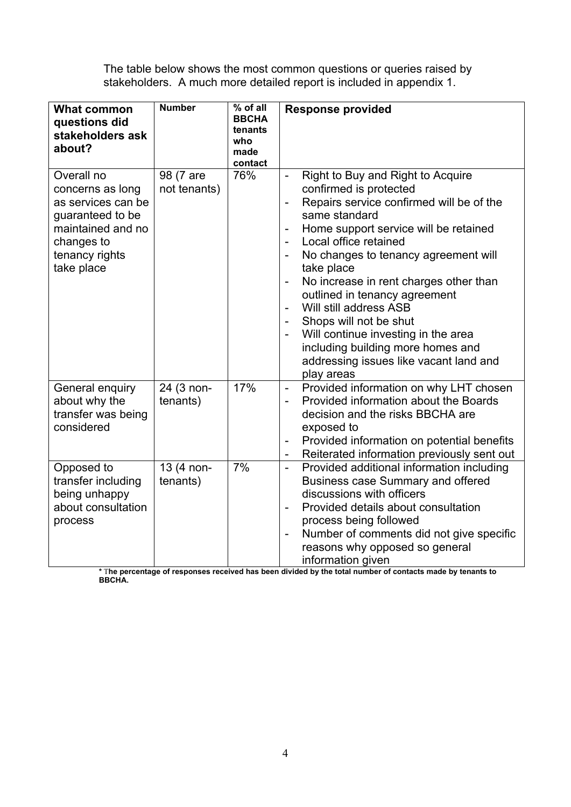The table below shows the most common questions or queries raised by stakeholders. A much more detailed report is included in appendix 1.

| <b>What common</b><br>questions did<br>stakeholders ask<br>about?                                                                           | <b>Number</b>             | % of all<br><b>BBCHA</b><br>tenants<br>who<br>made<br>contact | <b>Response provided</b>                                                                                                                                                                                                                                                                                                                                                                                                                                                                                                                                                                                                |
|---------------------------------------------------------------------------------------------------------------------------------------------|---------------------------|---------------------------------------------------------------|-------------------------------------------------------------------------------------------------------------------------------------------------------------------------------------------------------------------------------------------------------------------------------------------------------------------------------------------------------------------------------------------------------------------------------------------------------------------------------------------------------------------------------------------------------------------------------------------------------------------------|
| Overall no<br>concerns as long<br>as services can be<br>quaranteed to be<br>maintained and no<br>changes to<br>tenancy rights<br>take place | 98 (7 are<br>not tenants) | 76%                                                           | Right to Buy and Right to Acquire<br>$\blacksquare$<br>confirmed is protected<br>Repairs service confirmed will be of the<br>$\overline{a}$<br>same standard<br>Home support service will be retained<br>Local office retained<br>$\overline{a}$<br>No changes to tenancy agreement will<br>take place<br>No increase in rent charges other than<br>$\overline{\phantom{0}}$<br>outlined in tenancy agreement<br>Will still address ASB<br>$\overline{a}$<br>Shops will not be shut<br>Will continue investing in the area<br>including building more homes and<br>addressing issues like vacant land and<br>play areas |
| General enquiry<br>about why the<br>transfer was being<br>considered                                                                        | 24 (3 non-<br>tenants)    | 17%                                                           | Provided information on why LHT chosen<br>$\qquad \qquad \blacksquare$<br>Provided information about the Boards<br>$\overline{\phantom{a}}$<br>decision and the risks BBCHA are<br>exposed to<br>Provided information on potential benefits<br>$\overline{\phantom{0}}$<br>Reiterated information previously sent out<br>$\qquad \qquad \blacksquare$                                                                                                                                                                                                                                                                   |
| Opposed to<br>transfer including<br>being unhappy<br>about consultation<br>process                                                          | 13 (4 non-<br>tenants)    | 7%                                                            | Provided additional information including<br>$\overline{a}$<br><b>Business case Summary and offered</b><br>discussions with officers<br>Provided details about consultation<br>$\overline{a}$<br>process being followed<br>Number of comments did not give specific<br>$\overline{a}$<br>reasons why opposed so general<br>information given                                                                                                                                                                                                                                                                            |

\* The percentage of responses received has been divided by the total number of contacts made by tenants to **BBCHA.**